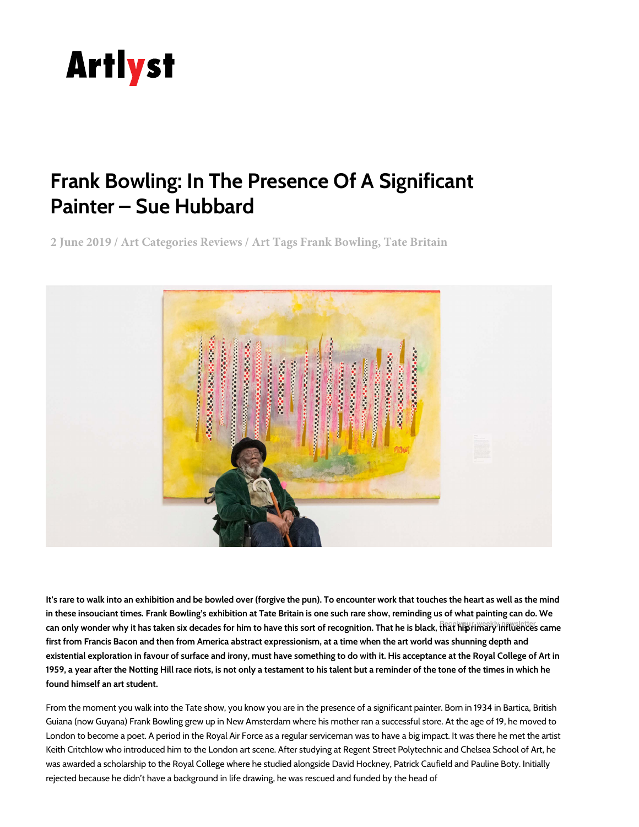

## **[Frank Bowling: In The Presence Of A Significant](http://www.artlyst.com/features)  [Painter – Sue Hubbard](http://www.artlyst.com/galleries)**

**[2 June 2019 / Art Categories Reviews / Art Tags Frank Bowling, Tate Britain](https://human-venice.com/?utm_source=artlyst&utm_medium=display&utm_campaign=scullyhuman&utm_content=homepage)**



**It's rare to walk into an exhibition and be bowled over (forgive the pun). To encounter work that touches the heart as well as the mind in these insouciant times. Frank Bowling['s exhibiti](https://www.mailchimp.com/gdpr)on at Tate Britain is one such rare show, reminding us of what painting can do. We**  can only wonder why it has taken six decades for hi[m to have this sort of recognition](https://mailchimp.com/legal/). That he is black, that hi**p** rimary influences came **first from Francis Bacon and then from America abstract expressionism, at a time when the art world was shunning depth and existential exploration in favour of surface and irony, must have something to do with it. His acceptance at the Royal College of Art in 1959, a year after the Notting Hill race riots, is not only a testament to his talent but a reminder of the tone of the times in which he found himself an art student.**

From the moment you walk into the Tate show, you know you are in the presence of a significant painter. Born in 1934 in Bartica, British Guiana (now Guyana) Frank Bowling grew up in New Amsterdam where his mother ran a successful store. At the age of 19, he moved to London to become a poet. A period in the Royal Air Force as a regular serviceman was to have a big impact. It was there he met the artist Keith Critchlow who introduced him to the London art scene. After studying at Regent Street Polytechnic and Chelsea School of Art, he was awarded a scholarship to the Royal College where he studied alongside David Hockney, Patrick Caufield and Pauline Boty. Initially rejected because he didn't have a background in life drawing, he was rescued and funded by the head of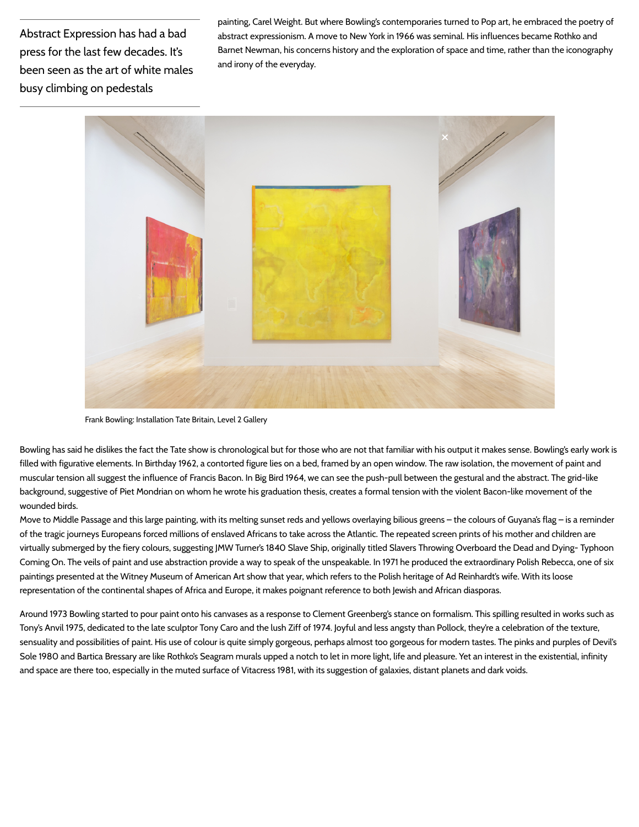Abstract Expression has had a bad press for the last few decades. It's been seen as the art of white males busy climbing on pedestals

painting, Carel Weight. But where Bowling's contemporaries turned to Pop art, he embraced the poetry of abstract expressionism. A move to New York in 1966 was seminal. His influences became Rothko and Barnet Newman, his concerns history and the exploration of space and time, rather than the iconography and irony of the everyday.



Frank Bowling: Installation Tate Britain, Level 2 Gallery

Bowling has said he dislikes the fact the Tate show is chronological but for those who are not that familiar with his output it makes sense. Bowling's early work is filled with figurative elements. In Birthday 1962, a contorted figure lies on a bed, framed by an open window. The raw isolation, the movement of paint and muscular tension all suggest the influence of Francis Bacon. In Big Bird 1964, we can see the push-pull between the gestural and the abstract. The grid-like background, suggestive of Piet Mondrian on whom he wrote his graduation thesis, creates a formal tension with the violent Bacon-like movement of the wounded birds.

Move to Middle Passage and this large painting, with its melting sunset reds and yellows overlaying bilious greens – the colours of Guyana's flag – is a reminder of the tragic journeys Europeans forced millions of enslaved Africans to take across the Atlantic. The repeated screen prints of his mother and children are virtually submerged by the fiery colours, suggesting JMW Turner's 1840 Slave Ship, originally titled Slavers Throwing Overboard the Dead and Dying- Typhoon Coming On. The veils of paint and use abstraction provide a way to speak of the unspeakable. In 1971 he produced the extraordinary Polish Rebecca, one of six paintings presented at the Witney Museum of American Art show that year, which refers to the Polish heritage of Ad Reinhardt's wife. With its loose representation of the continental shapes of Africa and Europe, it makes poignant reference to both Jewish and African diasporas.

Around 1973 Bowling started to pour paint onto his canvases as a response to Clement Greenberg's stance on formalism. This spilling resulted in works such as Tony's Anvil 1975, dedicated to the late sculptor Tony Caro and the lush Ziff of 1974. Joyful and less angsty than Pollock, they're a celebration of the texture, sensuality and possibilities of paint. His use of colour is quite simply gorgeous, perhaps almost too gorgeous for modern tastes. The pinks and purples of Devil's Sole 1980 and Bartica Bressary are like Rothko's Seagram murals upped a notch to let in more light, life and pleasure. Yet an interest in the existential, infinity and space are there too, especially in the muted surface of Vitacress 1981, with its suggestion of galaxies, distant planets and dark voids.